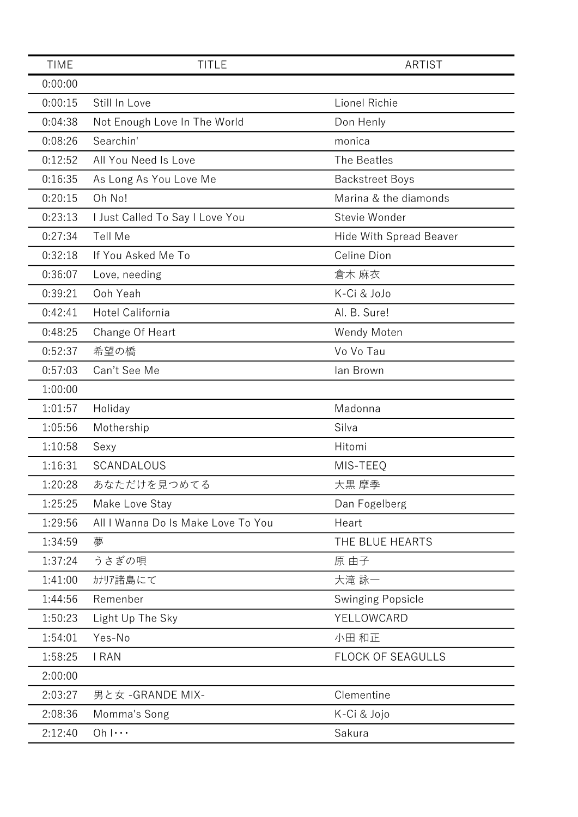| <b>TIME</b> | <b>TITLE</b>                       | <b>ARTIST</b>            |
|-------------|------------------------------------|--------------------------|
| 0:00:00     |                                    |                          |
| 0:00:15     | Still In Love                      | Lionel Richie            |
| 0:04:38     | Not Enough Love In The World       | Don Henly                |
| 0:08:26     | Searchin'                          | monica                   |
| 0:12:52     | All You Need Is Love               | The Beatles              |
| 0:16:35     | As Long As You Love Me             | <b>Backstreet Boys</b>   |
| 0:20:15     | Oh No!                             | Marina & the diamonds    |
| 0:23:13     | I Just Called To Say I Love You    | Stevie Wonder            |
| 0:27:34     | <b>Tell Me</b>                     | Hide With Spread Beaver  |
| 0:32:18     | If You Asked Me To                 | Celine Dion              |
| 0:36:07     | Love, needing                      | 倉木 麻衣                    |
| 0:39:21     | Ooh Yeah                           | K-Ci & JoJo              |
| 0:42:41     | Hotel California                   | Al. B. Sure!             |
| 0:48:25     | Change Of Heart                    | Wendy Moten              |
| 0:52:37     | 希望の橋                               | Vo Vo Tau                |
| 0:57:03     | Can't See Me                       | lan Brown                |
| 1:00:00     |                                    |                          |
| 1:01:57     | Holiday                            | Madonna                  |
| 1:05:56     | Mothership                         | Silva                    |
| 1:10:58     | Sexy                               | Hitomi                   |
| 1:16:31     | SCANDALOUS                         | MIS-TEEQ                 |
| 1:20:28     | あなただけを見つめてる                        | 大黒 摩季                    |
| 1:25:25     | Make Love Stay                     | Dan Fogelberg            |
| 1:29:56     | All I Wanna Do Is Make Love To You | Heart                    |
| 1:34:59     | 夢                                  | THE BLUE HEARTS          |
| 1:37:24     | うさぎの唄                              | 原 由子                     |
| 1:41:00     | カナリア諸島にて                           | 大滝 詠一                    |
| 1:44:56     | Remenber                           | Swinging Popsicle        |
| 1:50:23     | Light Up The Sky                   | YELLOWCARD               |
| 1:54:01     | Yes-No                             | 小田 和正                    |
| 1:58:25     | I RAN                              | <b>FLOCK OF SEAGULLS</b> |
| 2:00:00     |                                    |                          |
| 2:03:27     | 男と女 - GRANDE MIX-                  | Clementine               |
| 2:08:36     | Momma's Song                       | K-Ci & Jojo              |
| 2:12:40     | $Oh   \cdots$                      | Sakura                   |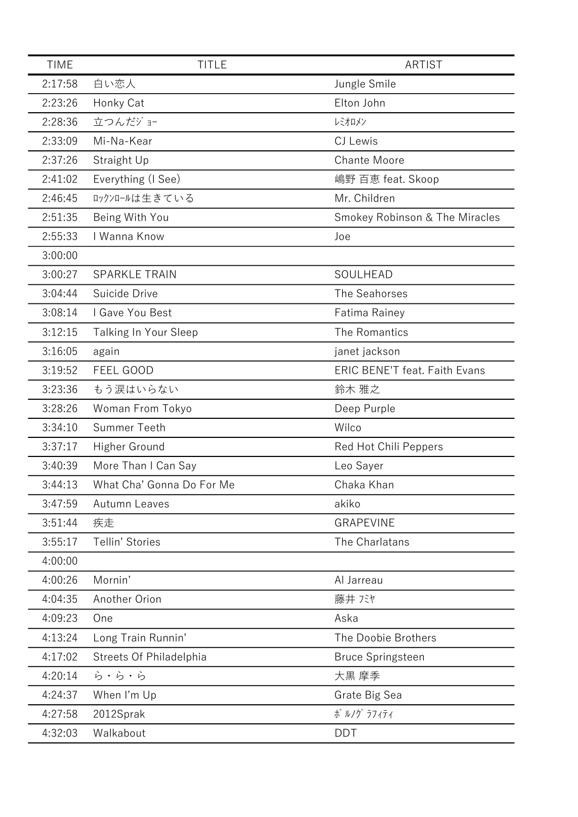| <b>TIME</b> | <b>TITLE</b>              | <b>ARTIST</b>                        |
|-------------|---------------------------|--------------------------------------|
| 2:17:58     | 白い恋人                      | Jungle Smile                         |
| 2:23:26     | Honky Cat                 | Elton John                           |
| 2:28:36     | 立つんだジョー                   | レミオロメン                               |
| 2:33:09     | Mi-Na-Kear                | CJ Lewis                             |
| 2:37:26     | Straight Up               | <b>Chante Moore</b>                  |
| 2:41:02     | Everything (I See)        | 嶋野 百恵 feat. Skoop                    |
| 2:46:45     | ロックンロールは生きている             | Mr. Children                         |
| 2:51:35     | Being With You            | Smokey Robinson & The Miracles       |
| 2:55:33     | I Wanna Know              | Joe                                  |
| 3:00:00     |                           |                                      |
| 3:00:27     | <b>SPARKLE TRAIN</b>      | SOULHEAD                             |
| 3:04:44     | Suicide Drive             | The Seahorses                        |
| 3:08:14     | I Gave You Best           | Fatima Rainey                        |
| 3:12:15     | Talking In Your Sleep     | The Romantics                        |
| 3:16:05     | again                     | janet jackson                        |
| 3:19:52     | FEEL GOOD                 | <b>ERIC BENE'T feat. Faith Evans</b> |
| 3:23:36     | もう涙はいらない                  | 鈴木 雅之                                |
| 3:28:26     | Woman From Tokyo          | Deep Purple                          |
| 3:34:10     | <b>Summer Teeth</b>       | Wilco                                |
| 3:37:17     | Higher Ground             | Red Hot Chili Peppers                |
| 3:40:39     | More Than I Can Say       | Leo Sayer                            |
| 3:44:13     | What Cha' Gonna Do For Me | Chaka Khan                           |
| 3:47:59     | <b>Autumn Leaves</b>      | akiko                                |
| 3:51:44     | 疾走                        | <b>GRAPEVINE</b>                     |
| 3:55:17     | Tellin' Stories           | The Charlatans                       |
| 4:00:00     |                           |                                      |
| 4:00:26     | Mornin'                   | Al Jarreau                           |
| 4:04:35     | Another Orion             | 藤井 バヤ                                |
| 4:09:23     | One                       | Aska                                 |
| 4:13:24     | Long Train Runnin'        | The Doobie Brothers                  |
| 4:17:02     | Streets Of Philadelphia   | <b>Bruce Springsteen</b>             |
| 4:20:14     | ら・ら・ら                     | 大黒 摩季                                |
| 4:24:37     | When I'm Up               | Grate Big Sea                        |
| 4:27:58     | 2012Sprak                 | ポ ルノグ ラフィティ                          |
| 4:32:03     | Walkabout                 | <b>DDT</b>                           |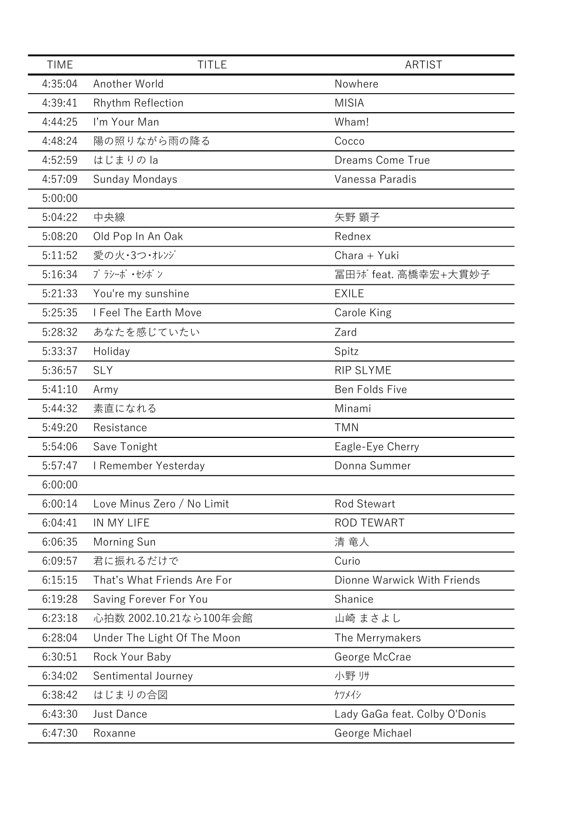| <b>TIME</b> | <b>TITLE</b>                | ARTIST                        |
|-------------|-----------------------------|-------------------------------|
| 4:35:04     | Another World               | Nowhere                       |
| 4:39:41     | Rhythm Reflection           | <b>MISIA</b>                  |
| 4:44:25     | I'm Your Man                | Wham!                         |
| 4:48:24     | 陽の照りながら雨の降る                 | Cocco                         |
| 4:52:59     | はじまりの la                    | <b>Dreams Come True</b>       |
| 4:57:09     | Sunday Mondays              | Vanessa Paradis               |
| 5:00:00     |                             |                               |
| 5:04:22     | 中央線                         | 矢野 顕子                         |
| 5:08:20     | Old Pop In An Oak           | Rednex                        |
| 5:11:52     | 愛の火・3つ・オレンジ                 | Chara + Yuki                  |
| 5:16:34     | プラシーボ・セシボン                  | 冨田が feat. 高橋幸宏+大貫妙子           |
| 5:21:33     | You're my sunshine          | <b>EXILE</b>                  |
| 5:25:35     | I Feel The Earth Move       | Carole King                   |
| 5:28:32     | あなたを感じていたい                  | Zard                          |
| 5:33:37     | Holiday                     | Spitz                         |
| 5:36:57     | <b>SLY</b>                  | <b>RIP SLYME</b>              |
| 5:41:10     | Army                        | Ben Folds Five                |
| 5:44:32     | 素直になれる                      | Minami                        |
| 5:49:20     | Resistance                  | <b>TMN</b>                    |
| 5:54:06     | Save Tonight                | Eagle-Eye Cherry              |
| 5:57:47     | I Remember Yesterday        | Donna Summer                  |
| 6:00:00     |                             |                               |
| 6:00:14     | Love Minus Zero / No Limit  | <b>Rod Stewart</b>            |
| 6:04:41     | IN MY LIFE                  | <b>ROD TEWART</b>             |
| 6:06:35     | Morning Sun                 | 清 竜人                          |
| 6:09:57     | 君に振れるだけで                    | Curio                         |
| 6:15:15     | That's What Friends Are For | Dionne Warwick With Friends   |
| 6:19:28     | Saving Forever For You      | Shanice                       |
| 6:23:18     | 心拍数 2002.10.21なら100年会館      | 山崎 まさよし                       |
| 6:28:04     | Under The Light Of The Moon | The Merrymakers               |
| 6:30:51     | Rock Your Baby              | George McCrae                 |
| 6:34:02     | Sentimental Journey         | 小野 リサ                         |
| 6:38:42     | はじまりの合図                     | ケツメイシ                         |
| 6:43:30     | Just Dance                  | Lady GaGa feat. Colby O'Donis |
| 6:47:30     | Roxanne                     | George Michael                |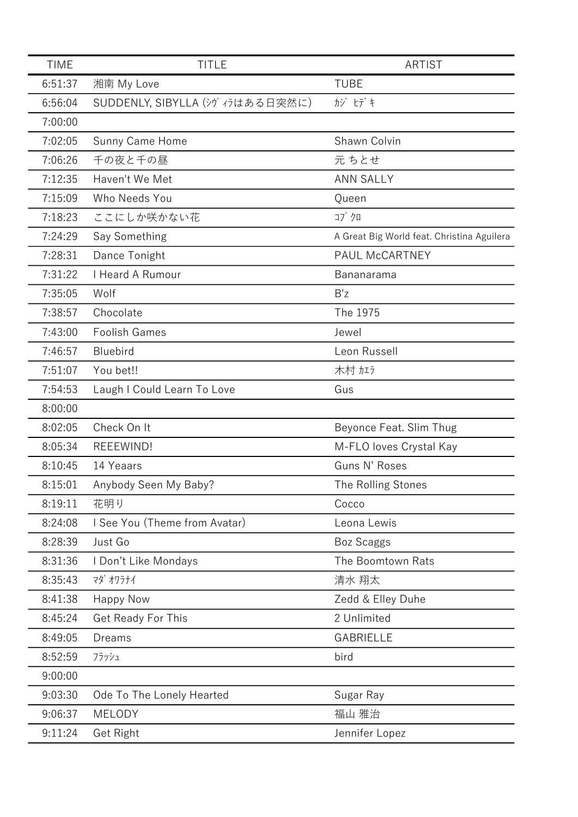| <b>TIME</b> | <b>TITLE</b>                    | <b>ARTIST</b>                              |
|-------------|---------------------------------|--------------------------------------------|
| 6:51:37     | 湘南 My Love                      | <b>TUBE</b>                                |
| 6:56:04     | SUDDENLY, SIBYLLA (シヴィラはある日突然に) | カジ ヒデキ                                     |
| 7:00:00     |                                 |                                            |
| 7:02:05     | Sunny Came Home                 | Shawn Colvin                               |
| 7:06:26     | 千の夜と千の昼                         | 元 ちとせ                                      |
| 7:12:35     | Haven't We Met                  | <b>ANN SALLY</b>                           |
| 7:15:09     | Who Needs You                   | Queen                                      |
| 7:18:23     | ここにしか咲かない花                      | コブクロ                                       |
| 7:24:29     | Say Something                   | A Great Big World feat. Christina Aguilera |
| 7:28:31     | Dance Tonight                   | PAUL McCARTNEY                             |
| 7:31:22     | I Heard A Rumour                | Bananarama                                 |
| 7:35:05     | Wolf                            | B'z                                        |
| 7:38:57     | Chocolate                       | The 1975                                   |
| 7:43:00     | <b>Foolish Games</b>            | Jewel                                      |
| 7:46:57     | <b>Bluebird</b>                 | Leon Russell                               |
| 7:51:07     | You bet!!                       | 木村加方                                       |
| 7:54:53     | Laugh I Could Learn To Love     | Gus                                        |
| 8:00:00     |                                 |                                            |
| 8:02:05     | Check On It                     | Beyonce Feat. Slim Thug                    |
| 8:05:34     | REEEWIND!                       | M-FLO loves Crystal Kay                    |
| 8:10:45     | 14 Yeaars                       | Guns N' Roses                              |
| 8:15:01     | Anybody Seen My Baby?           | The Rolling Stones                         |
| 8:19:11     | 花明り                             | Cocco                                      |
| 8:24:08     | I See You (Theme from Avatar)   | Leona Lewis                                |
| 8:28:39     | Just Go                         | <b>Boz Scaggs</b>                          |
| 8:31:36     | I Don't Like Mondays            | The Boomtown Rats                          |
| 8:35:43     | マダ オワラナイ                        | 清水 翔太                                      |
| 8:41:38     | <b>Happy Now</b>                | Zedd & Elley Duhe                          |
| 8:45:24     | Get Ready For This              | 2 Unlimited                                |
| 8:49:05     | <b>Dreams</b>                   | <b>GABRIELLE</b>                           |
| 8:52:59     | フラッシュ                           | bird                                       |
| 9:00:00     |                                 |                                            |
| 9:03:30     | Ode To The Lonely Hearted       | Sugar Ray                                  |
| 9:06:37     | <b>MELODY</b>                   | 福山 雅治                                      |
| 9:11:24     | Get Right                       | Jennifer Lopez                             |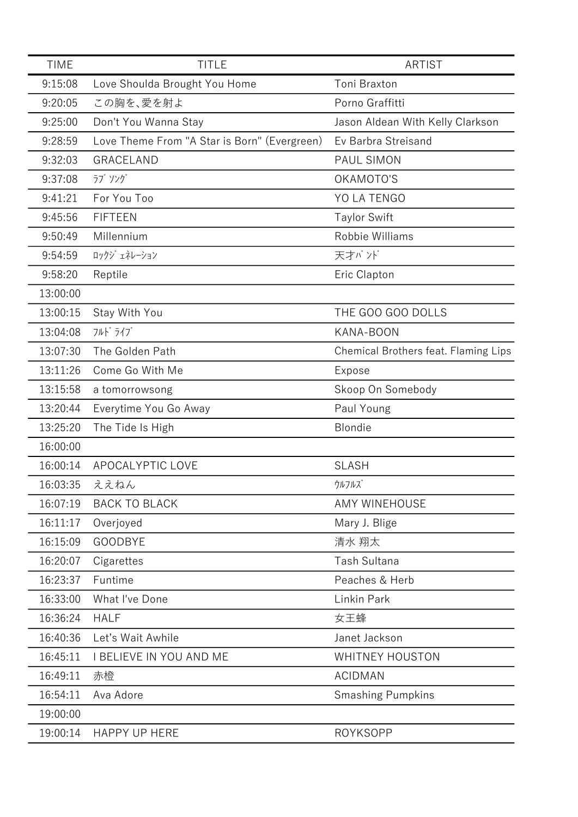| <b>TIME</b> | <b>TITLE</b>                                 | ARTIST                               |
|-------------|----------------------------------------------|--------------------------------------|
| 9:15:08     | Love Shoulda Brought You Home                | Toni Braxton                         |
| 9:20:05     | この胸を、愛を射よ                                    | Porno Graffitti                      |
| 9:25:00     | Don't You Wanna Stay                         | Jason Aldean With Kelly Clarkson     |
| 9:28:59     | Love Theme From "A Star is Born" (Evergreen) | Ev Barbra Streisand                  |
| 9:32:03     | GRACELAND                                    | PAUL SIMON                           |
| 9:37:08     | ラブ ソング                                       | OKAMOTO'S                            |
| 9:41:21     | For You Too                                  | YO LA TENGO                          |
| 9:45:56     | <b>FIFTEEN</b>                               | <b>Taylor Swift</b>                  |
| 9:50:49     | Millennium                                   | Robbie Williams                      |
| 9:54:59     | ロックジ ェネレーション                                 | 天才バンド                                |
| 9:58:20     | Reptile                                      | Eric Clapton                         |
| 13:00:00    |                                              |                                      |
| 13:00:15    | Stay With You                                | THE GOO GOO DOLLS                    |
| 13:04:08    | フルト゛ライブ                                      | KANA-BOON                            |
| 13:07:30    | The Golden Path                              | Chemical Brothers feat. Flaming Lips |
| 13:11:26    | Come Go With Me                              | Expose                               |
| 13:15:58    | a tomorrowsong                               | Skoop On Somebody                    |
| 13:20:44    | Everytime You Go Away                        | Paul Young                           |
| 13:25:20    | The Tide Is High                             | Blondie                              |
| 16:00:00    |                                              |                                      |
| 16:00:14    | APOCALYPTIC LOVE                             | <b>SLASH</b>                         |
| 16:03:35    | ええねん                                         | ウルフルズ                                |
| 16:07:19    | <b>BACK TO BLACK</b>                         | <b>AMY WINEHOUSE</b>                 |
| 16:11:17    | Overjoyed                                    | Mary J. Blige                        |
| 16:15:09    | <b>GOODBYE</b>                               | 清水 翔太                                |
| 16:20:07    | Cigarettes                                   | Tash Sultana                         |
| 16:23:37    | Funtime                                      | Peaches & Herb                       |
| 16:33:00    | What I've Done                               | Linkin Park                          |
| 16:36:24    | <b>HALF</b>                                  | 女王蜂                                  |
| 16:40:36    | Let's Wait Awhile                            | Janet Jackson                        |
| 16:45:11    | <b>I BELIEVE IN YOU AND ME</b>               | <b>WHITNEY HOUSTON</b>               |
| 16:49:11    | 赤橙                                           | <b>ACIDMAN</b>                       |
| 16:54:11    | Ava Adore                                    | <b>Smashing Pumpkins</b>             |
| 19:00:00    |                                              |                                      |
| 19:00:14    | <b>HAPPY UP HERE</b>                         | <b>ROYKSOPP</b>                      |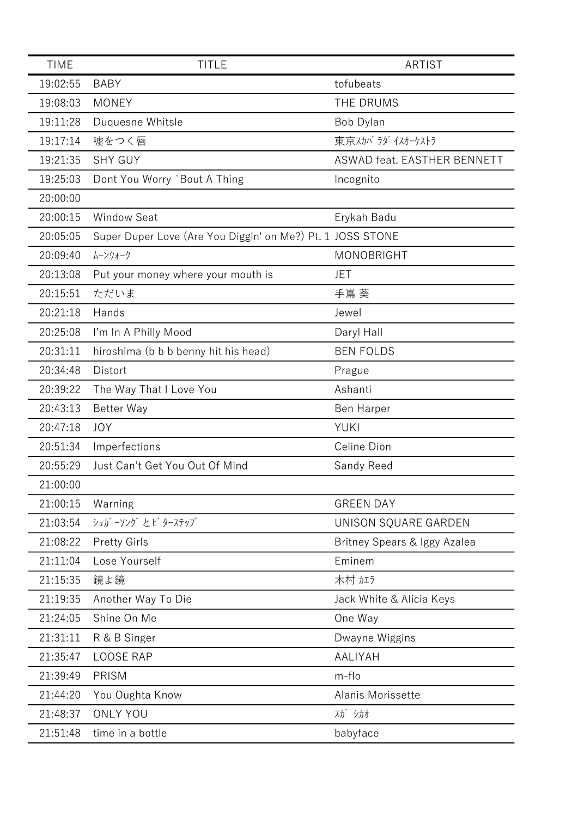| <b>TIME</b> | <b>TITLE</b>                                               | <b>ARTIST</b>                |
|-------------|------------------------------------------------------------|------------------------------|
| 19:02:55    | <b>BABY</b>                                                | tofubeats                    |
| 19:08:03    | <b>MONEY</b>                                               | <b>THE DRUMS</b>             |
| 19:11:28    | Duquesne Whitsle                                           | Bob Dylan                    |
| 19:17:14    | 嘘をつく唇                                                      | 東京スカパラダイスオーケストラ              |
| 19:21:35    | <b>SHY GUY</b>                                             | ASWAD feat. EASTHER BENNETT  |
| 19:25:03    | Dont You Worry `Bout A Thing                               | Incognito                    |
| 20:00:00    |                                                            |                              |
| 20:00:15    | <b>Window Seat</b>                                         | Erykah Badu                  |
| 20:05:05    | Super Duper Love (Are You Diggin' on Me?) Pt. 1 JOSS STONE |                              |
| 20:09:40    | ムーンウォーク                                                    | <b>MONOBRIGHT</b>            |
| 20:13:08    | Put your money where your mouth is                         | JET                          |
| 20:15:51    | ただいま                                                       | 手嶌葵                          |
| 20:21:18    | Hands                                                      | Jewel                        |
| 20:25:08    | I'm In A Philly Mood                                       | Daryl Hall                   |
| 20:31:11    | hiroshima (b b b benny hit his head)                       | <b>BEN FOLDS</b>             |
| 20:34:48    | Distort                                                    | Prague                       |
| 20:39:22    | The Way That I Love You                                    | Ashanti                      |
| 20:43:13    | <b>Better Way</b>                                          | <b>Ben Harper</b>            |
| 20:47:18    | <b>JOY</b>                                                 | <b>YUKI</b>                  |
| 20:51:34    | Imperfections                                              | Celine Dion                  |
| 20:55:29    | Just Can't Get You Out Of Mind                             | Sandy Reed                   |
| 21:00:00    |                                                            |                              |
| 21:00:15    | Warning                                                    | <b>GREEN DAY</b>             |
| 21:03:54    | シュガーソング とど ターステップ                                          | UNISON SQUARE GARDEN         |
| 21:08:22    | <b>Pretty Girls</b>                                        | Britney Spears & Iggy Azalea |
| 21:11:04    | Lose Yourself                                              | Eminem                       |
| 21:15:35    | 鏡よ鏡                                                        | 木村加方                         |
| 21:19:35    | Another Way To Die                                         | Jack White & Alicia Keys     |
| 21:24:05    | Shine On Me                                                | One Way                      |
| 21:31:11    | R & B Singer                                               | Dwayne Wiggins               |
| 21:35:47    | <b>LOOSE RAP</b>                                           | AALIYAH                      |
| 21:39:49    | PRISM                                                      | m-flo                        |
| 21:44:20    | You Oughta Know                                            | Alanis Morissette            |
| 21:48:37    | <b>ONLY YOU</b>                                            | 入力 シカオ                       |
| 21:51:48    | time in a bottle                                           | babyface                     |